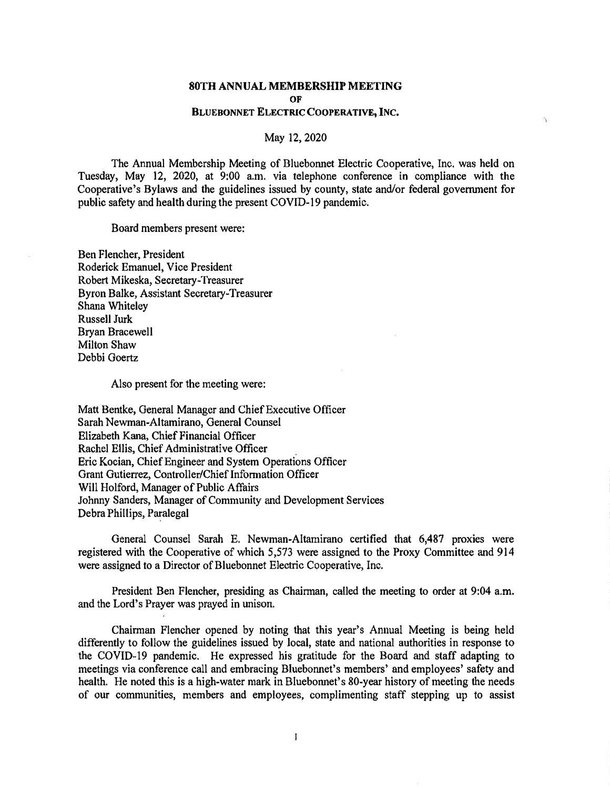## **80TH ANNUAL MEMBERSHIP MEETING OF BLUEBONNET ELECTRIC COOPERATIVE, INC.**

 $\gamma$ 

May 12, 2020

The Annual Membership Meeting of Bluebonnet Electric Cooperative, Inc. was held on Tuesday, May 12, 2020, at 9:00 a.m. via telephone conference in compliance with the Cooperative's Bylaws and the guidelines issued by county, state and/or federal government for public safety and health during the present COVID-19 pandemic.

Board members present were:

Ben Flencher, President Roderick Emanuel, Vice President Robert Mikeska, Secretary-Treasurer Byron Balke, Assistant Secretary-Treasurer Shana Whiteley Russell Jurk Bryan Bracewell Milton Shaw Debbi Goertz

Also present for the meeting were:

Matt Bentke, General Manager and Chief Executive Officer Sarah Newman-Altamirano, General Counsel Elizabeth Kana, Chief Financial Officer Rachel Ellis, Chief Administrative Officer Eric Kocian, Chief Engineer and System Operations Officer Grant Gutierrez, Controller/Chief Information Officer Will Holford, Manager of Public Affairs Johnny Sanders, Manager of Community and Development Services Debra Phillips, Paralegal

General Counsel Sarah E. Newman-Altamirano certified that 6,487 proxies were registered with the Cooperative of which 5,573 were assigned to the Proxy Committee and 914 were assigned to a Director of Bluebonnet Electric Cooperative, Inc.

President Ben Flencher, presiding as Chairman, called the meeting to order at 9:04 a.m. and the Lord's Prayer was prayed in unison.

Chairman Flencher opened by noting that this year's Annual Meeting is being held differently to follow the guidelines issued by local, state and national authorities in response to the COVID-19 pandemic. He expressed his gratitude for the Board and staff adapting to meetings via conference call and embracing Bluebonnet's members' and employees' safety and health. He noted this is a high-water mark in Bluebonnet's 80-year history of meeting the needs of our communities, members and employees, complimenting staff stepping up to assist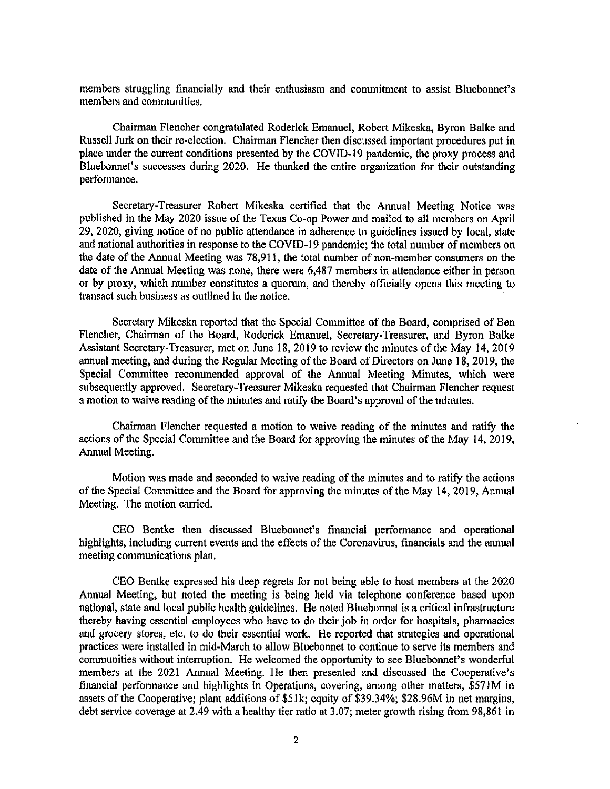members struggling financially and their enthusiasm and commitment to assist Bluebonnet's members and communities.

Chairman Flencher congratulated Roderick Emanuel, Robert Mikeska, Byron Balke and Russell Jurk on their re-election. Chairman Flencher then discussed important procedures put in place under the current conditions presented by the COVID-19 pandemic, the proxy process and Bluebonnet's successes during 2020. He thanked the entire organization for their outstanding performance.

Secretary-Treasurer Robert Mikeska certified that the Annual Meeting Notice was published in the May 2020 issue of the Texas Co-op Power and mailed to all members on April 29, 2020, giving notice of no public attendance in adherence to guidelines issued by local, state and national authorities in response to the COVID-19 pandemic; the total number of members on the date of the Annual Meeting was 78,911, the total number of non-member consumers on the date of the Annual Meeting was none, there were 6,487 members in attendance either in person or by proxy, which number constitutes a quorum, and thereby officially opens this meeting to transact such business as outlined in the notice.

Secretary Mikeska reported that the Special Committee of the Board, comprised of Ben Flencher, Chairman of the Board, Roderick Emanuel, Secretary-Treasurer, and Byron Balke Assistant Secretary-Treasurer, met on June 18, 2019 to review the minutes of the May 14, 2019 annual meeting, and during the Regular Meeting of the Board of Directors on June 18, 2019, the Special Committee recommended approval of the Annual Meeting Minutes, which were subsequently approved. Secretary-Treasurer Mikeska requested that Chairman Flencher request a motion to waive reading of the minutes and ratify the Board's approval of the minutes.

Chairman Flencher requested a motion to waive reading of the minutes and ratify the actions of the Special Committee and the Board for approving the minutes of the May 14, 2019, Annual Meeting.

Motion was made and seconded to waive reading of the minutes and to ratify the actions of the Special Committee and the Board for approving the minutes of the May 14, 2019, Annual Meeting. The motion carried.

CEO Bentke then discussed Bluebonnet's financial performance and operational highlights, including current events and the effects of the Coronavirus, financials and the annual meeting communications plan.

CEO Bentke expressed his deep regrets for not being able to host members at the 2020 Annual Meeting, but noted the meeting is being held via telephone conference based upon national, state and local public health guidelines. He noted Bluebonnet is a critical infrastructure thereby having essential employees who have to do their job in order for hospitals, pharmacies and grocery stores, etc. to do their essential work. He reported that strategies and operational practices were installed in mid-March to allow Bluebonnet to continue to serve its members and communities without interruption. He welcomed the opportunity to see Bluebonnet's wonderful members at the 2021 Annual Meeting. He then presented and discussed the Cooperative's financial performance and highlights in Operations, covering, among other matters, \$571M in assets of the Cooperative; plant additions of \$51k; equity of \$39.34%; \$28.96M in net margins, debt service coverage at 2.49 with a healthy tier ratio at 3.07; meter growth rising from 98,861 in